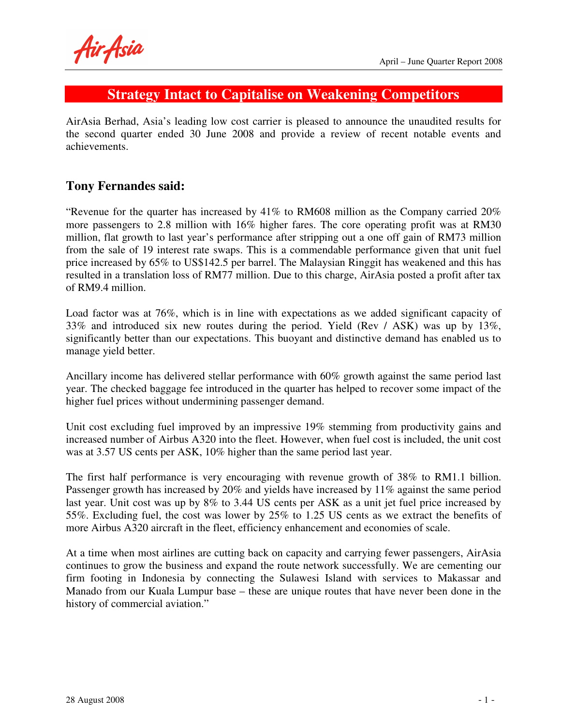Air Asia

# **Strategy Intact to Capitalise on Weakening Competitors**

AirAsia Berhad, Asia's leading low cost carrier is pleased to announce the unaudited results for the second quarter ended 30 June 2008 and provide a review of recent notable events and achievements.

## **Tony Fernandes said:**

"Revenue for the quarter has increased by 41% to RM608 million as the Company carried 20% more passengers to 2.8 million with 16% higher fares. The core operating profit was at RM30 million, flat growth to last year's performance after stripping out a one off gain of RM73 million from the sale of 19 interest rate swaps. This is a commendable performance given that unit fuel price increased by 65% to US\$142.5 per barrel. The Malaysian Ringgit has weakened and this has resulted in a translation loss of RM77 million. Due to this charge, AirAsia posted a profit after tax of RM9.4 million.

Load factor was at 76%, which is in line with expectations as we added significant capacity of 33% and introduced six new routes during the period. Yield (Rev / ASK) was up by 13%, significantly better than our expectations. This buoyant and distinctive demand has enabled us to manage yield better.

Ancillary income has delivered stellar performance with 60% growth against the same period last year. The checked baggage fee introduced in the quarter has helped to recover some impact of the higher fuel prices without undermining passenger demand.

Unit cost excluding fuel improved by an impressive 19% stemming from productivity gains and increased number of Airbus A320 into the fleet. However, when fuel cost is included, the unit cost was at 3.57 US cents per ASK, 10% higher than the same period last year.

The first half performance is very encouraging with revenue growth of 38% to RM1.1 billion. Passenger growth has increased by 20% and yields have increased by 11% against the same period last year. Unit cost was up by 8% to 3.44 US cents per ASK as a unit jet fuel price increased by 55%. Excluding fuel, the cost was lower by 25% to 1.25 US cents as we extract the benefits of more Airbus A320 aircraft in the fleet, efficiency enhancement and economies of scale.

At a time when most airlines are cutting back on capacity and carrying fewer passengers, AirAsia continues to grow the business and expand the route network successfully. We are cementing our firm footing in Indonesia by connecting the Sulawesi Island with services to Makassar and Manado from our Kuala Lumpur base – these are unique routes that have never been done in the history of commercial aviation."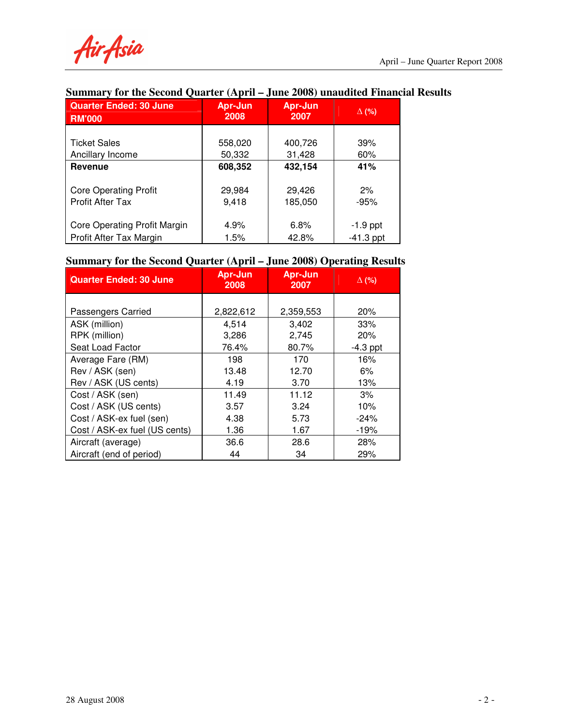Air Asia

# **Summary for the Second Quarter (April – June 2008) unaudited Financial Results**

| <b>Quarter Ended: 30 June</b><br><b>RM'000</b> | Apr-Jun<br>2008 | Apr-Jun<br>2007 | $\Delta$ (%) |
|------------------------------------------------|-----------------|-----------------|--------------|
|                                                |                 |                 |              |
| <b>Ticket Sales</b>                            | 558,020         | 400,726         | 39%          |
| Ancillary Income                               | 50,332          | 31,428          | 60%          |
| <b>Revenue</b>                                 | 608,352         | 432,154         | 41%          |
|                                                |                 |                 |              |
| <b>Core Operating Profit</b>                   | 29,984          | 29,426          | 2%           |
| Profit After Tax                               | 9,418           | 185,050         | $-95%$       |
|                                                |                 |                 |              |
| <b>Core Operating Profit Margin</b>            | 4.9%            | 6.8%            | $-1.9$ ppt   |
| Profit After Tax Margin                        | 1.5%            | 42.8%           | $-41.3$ ppt  |

### **Summary for the Second Quarter (April – June 2008) Operating Results**

| <b>Quarter Ended: 30 June</b> | <b>Apr-Jun</b><br>2008 | <b>Apr-Jun</b><br>2007 | $\Delta$ (%) |
|-------------------------------|------------------------|------------------------|--------------|
|                               |                        |                        |              |
| Passengers Carried            | 2,822,612              | 2,359,553              | 20%          |
| ASK (million)                 | 4,514                  | 3,402                  | 33%          |
| RPK (million)                 | 3,286                  | 2,745                  | 20%          |
| Seat Load Factor              | 76.4%                  | 80.7%                  | $-4.3$ ppt   |
| Average Fare (RM)             | 198                    | 170                    | 16%          |
| Rev / ASK (sen)               | 13.48                  | 12.70                  | 6%           |
| Rev / ASK (US cents)          | 4.19                   | 3.70                   | 13%          |
| Cost / ASK (sen)              | 11.49                  | 11.12                  | 3%           |
| Cost / ASK (US cents)         | 3.57                   | 3.24                   | 10%          |
| Cost / ASK-ex fuel (sen)      | 4.38                   | 5.73                   | $-24%$       |
| Cost / ASK-ex fuel (US cents) | 1.36                   | 1.67                   | $-19%$       |
| Aircraft (average)            | 36.6                   | 28.6                   | 28%          |
| Aircraft (end of period)      | 44                     | 34                     | 29%          |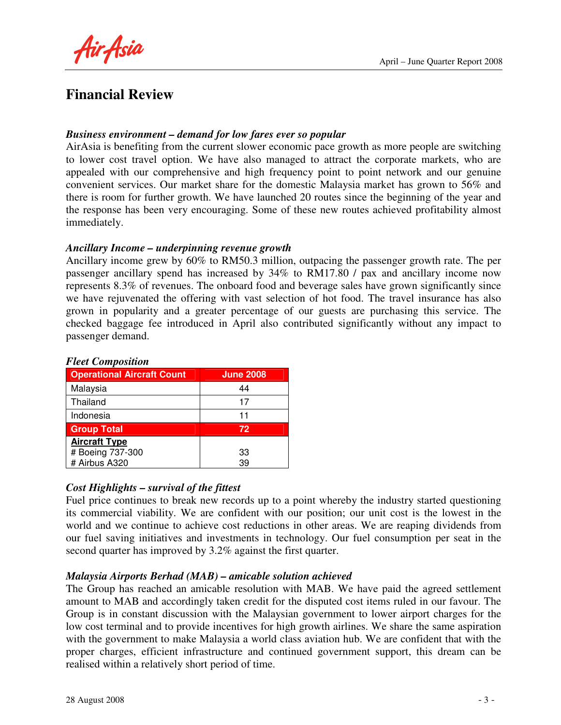April – June Quarter Report 2008

Air Asia

# **Financial Review**

#### *Business environment – demand for low fares ever so popular*

AirAsia is benefiting from the current slower economic pace growth as more people are switching to lower cost travel option. We have also managed to attract the corporate markets, who are appealed with our comprehensive and high frequency point to point network and our genuine convenient services. Our market share for the domestic Malaysia market has grown to 56% and there is room for further growth. We have launched 20 routes since the beginning of the year and the response has been very encouraging. Some of these new routes achieved profitability almost immediately.

#### *Ancillary Income – underpinning revenue growth*

Ancillary income grew by 60% to RM50.3 million, outpacing the passenger growth rate. The per passenger ancillary spend has increased by 34% to RM17.80 / pax and ancillary income now represents 8.3% of revenues. The onboard food and beverage sales have grown significantly since we have rejuvenated the offering with vast selection of hot food. The travel insurance has also grown in popularity and a greater percentage of our guests are purchasing this service. The checked baggage fee introduced in April also contributed significantly without any impact to passenger demand.

| 1 iccl composition                |                  |  |  |
|-----------------------------------|------------------|--|--|
| <b>Operational Aircraft Count</b> | <b>June 2008</b> |  |  |
| Malaysia                          | 44               |  |  |
| Thailand                          | 17               |  |  |
| Indonesia                         | 11               |  |  |
| <b>Group Total</b>                | 72               |  |  |
| <b>Aircraft Type</b>              |                  |  |  |
| # Boeing 737-300                  | 33               |  |  |
| # Airbus A320                     | 39               |  |  |

#### *Fleet Composition*

#### *Cost Highlights – survival of the fittest*

Fuel price continues to break new records up to a point whereby the industry started questioning its commercial viability. We are confident with our position; our unit cost is the lowest in the world and we continue to achieve cost reductions in other areas. We are reaping dividends from our fuel saving initiatives and investments in technology. Our fuel consumption per seat in the second quarter has improved by 3.2% against the first quarter.

#### *Malaysia Airports Berhad (MAB) – amicable solution achieved*

The Group has reached an amicable resolution with MAB. We have paid the agreed settlement amount to MAB and accordingly taken credit for the disputed cost items ruled in our favour. The Group is in constant discussion with the Malaysian government to lower airport charges for the low cost terminal and to provide incentives for high growth airlines. We share the same aspiration with the government to make Malaysia a world class aviation hub. We are confident that with the proper charges, efficient infrastructure and continued government support, this dream can be realised within a relatively short period of time.